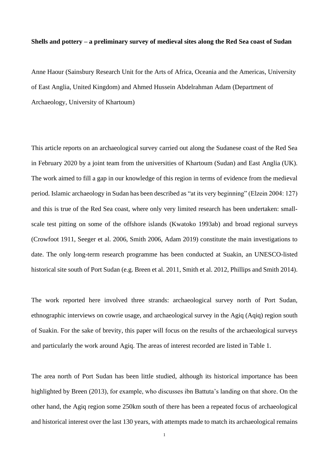## **Shells and pottery – a preliminary survey of medieval sites along the Red Sea coast of Sudan**

Anne Haour (Sainsbury Research Unit for the Arts of Africa, Oceania and the Americas, University of East Anglia, United Kingdom) and Ahmed Hussein Abdelrahman Adam (Department of Archaeology, University of Khartoum)

This article reports on an archaeological survey carried out along the Sudanese coast of the Red Sea in February 2020 by a joint team from the universities of Khartoum (Sudan) and East Anglia (UK). The work aimed to fill a gap in our knowledge of this region in terms of evidence from the medieval period. Islamic archaeology in Sudan has been described as "at its very beginning" (Elzein 2004: 127) and this is true of the Red Sea coast, where only very limited research has been undertaken: smallscale test pitting on some of the offshore islands (Kwatoko 1993ab) and broad regional surveys (Crowfoot 1911, Seeger et al. 2006, Smith 2006, Adam 2019) constitute the main investigations to date. The only long-term research programme has been conducted at Suakin, an UNESCO-listed historical site south of Port Sudan (e.g. Breen et al. 2011, Smith et al. 2012, Phillips and Smith 2014).

The work reported here involved three strands: archaeological survey north of Port Sudan, ethnographic interviews on cowrie usage, and archaeological survey in the Agiq (Aqiq) region south of Suakin. For the sake of brevity, this paper will focus on the results of the archaeological surveys and particularly the work around Agiq. The areas of interest recorded are listed in Table 1.

The area north of Port Sudan has been little studied, although its historical importance has been highlighted by Breen (2013), for example, who discusses ibn Battuta's landing on that shore. On the other hand, the Agiq region some 250km south of there has been a repeated focus of archaeological and historical interest over the last 130 years, with attempts made to match its archaeological remains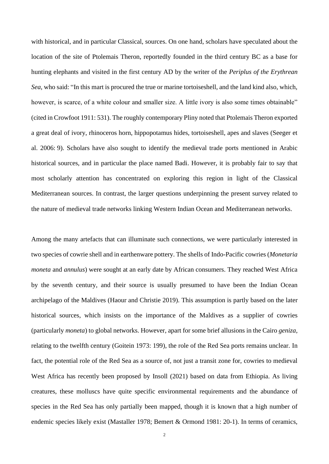with historical, and in particular Classical, sources. On one hand, scholars have speculated about the location of the site of Ptolemais Theron, reportedly founded in the third century BC as a base for hunting elephants and visited in the first century AD by the writer of the *Periplus of the Erythrean Sea*, who said: "In this mart is procured the true or marine tortoiseshell, and the land kind also, which, however, is scarce, of a white colour and smaller size. A little ivory is also some times obtainable" (cited in Crowfoot 1911: 531). The roughly contemporary Pliny noted that Ptolemais Theron exported a great deal of ivory, rhinoceros horn, hippopotamus hides, tortoiseshell, apes and slaves (Seeger et al. 2006: 9). Scholars have also sought to identify the medieval trade ports mentioned in Arabic historical sources, and in particular the place named Badi. However, it is probably fair to say that most scholarly attention has concentrated on exploring this region in light of the Classical Mediterranean sources. In contrast, the larger questions underpinning the present survey related to the nature of medieval trade networks linking Western Indian Ocean and Mediterranean networks.

Among the many artefacts that can illuminate such connections, we were particularly interested in two species of cowrie shell and in earthenware pottery. The shells of Indo-Pacific cowries (*Monetaria moneta* and *annulus*) were sought at an early date by African consumers. They reached West Africa by the seventh century, and their source is usually presumed to have been the Indian Ocean archipelago of the Maldives (Haour and Christie 2019). This assumption is partly based on the later historical sources, which insists on the importance of the Maldives as a supplier of cowries (particularly *moneta*) to global networks. However, apart for some brief allusions in the Cairo *geniza*, relating to the twelfth century (Goitein 1973: 199), the role of the Red Sea ports remains unclear. In fact, the potential role of the Red Sea as a source of, not just a transit zone for, cowries to medieval West Africa has recently been proposed by Insoll (2021) based on data from Ethiopia. As living creatures, these molluscs have quite specific environmental requirements and the abundance of species in the Red Sea has only partially been mapped, though it is known that a high number of endemic species likely exist (Mastaller 1978; Bemert & Ormond 1981: 20-1). In terms of ceramics,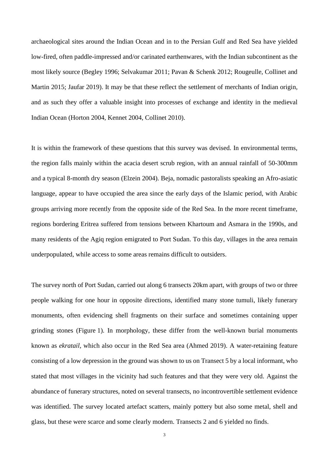archaeological sites around the Indian Ocean and in to the Persian Gulf and Red Sea have yielded low-fired, often paddle-impressed and/or carinated earthenwares, with the Indian subcontinent as the most likely source (Begley 1996; Selvakumar 2011; Pavan & Schenk 2012; Rougeulle, Collinet and Martin 2015; Jaufar 2019). It may be that these reflect the settlement of merchants of Indian origin, and as such they offer a valuable insight into processes of exchange and identity in the medieval Indian Ocean (Horton 2004, Kennet 2004, Collinet 2010).

It is within the framework of these questions that this survey was devised. In environmental terms, the region falls mainly within the acacia desert scrub region, with an annual rainfall of 50-300mm and a typical 8-month dry season (Elzein 2004). Beja, nomadic pastoralists speaking an Afro-asiatic language, appear to have occupied the area since the early days of the Islamic period, with Arabic groups arriving more recently from the opposite side of the Red Sea. In the more recent timeframe, regions bordering Eritrea suffered from tensions between Khartoum and Asmara in the 1990s, and many residents of the Agiq region emigrated to Port Sudan. To this day, villages in the area remain underpopulated, while access to some areas remains difficult to outsiders.

The survey north of Port Sudan, carried out along 6 transects 20km apart, with groups of two or three people walking for one hour in opposite directions, identified many stone tumuli, likely funerary monuments, often evidencing shell fragments on their surface and sometimes containing upper grinding stones (Figure 1). In morphology, these differ from the well-known burial monuments known as *ekratail,* which also occur in the Red Sea area (Ahmed 2019). A water-retaining feature consisting of a low depression in the ground was shown to us on Transect 5 by a local informant, who stated that most villages in the vicinity had such features and that they were very old. Against the abundance of funerary structures, noted on several transects, no incontrovertible settlement evidence was identified. The survey located artefact scatters, mainly pottery but also some metal, shell and glass, but these were scarce and some clearly modern. Transects 2 and 6 yielded no finds.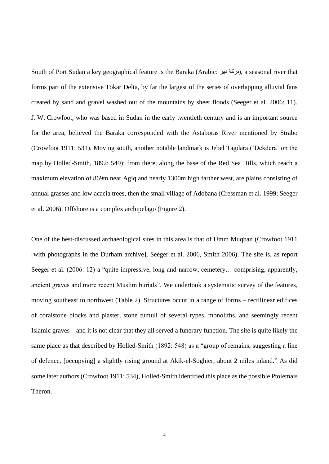South of Port Sudan a key geographical feature is the Baraka (Arabic: بركة نهر), a seasonal river that forms part of the extensive Tokar Delta, by far the largest of the series of overlapping alluvial fans created by sand and gravel washed out of the mountains by sheet floods (Seeger et al. 2006: 11). J. W. Crowfoot, who was based in Sudan in the early twentieth century and is an important source for the area, believed the Baraka corresponded with the Astaboras River mentioned by Strabo (Crowfoot 1911: 531). Moving south, another notable landmark is Jebel Tagdara ('Dekdera' on the map by Holled-Smith, 1892: 549); from there, along the base of the Red Sea Hills, which reach a maximum elevation of 869m near Agiq and nearly 1300m high farther west, are plains consisting of annual grasses and low acacia trees, then the small village of Adobana [\(Cressman et al. 1999;](http://www.fao.org/ag/locusts/oldsite/PDFs/SUDJS99b.pdf) Seeger et al. 2006). Offshore is a complex archipelago (Figure 2).

One of the best-discussed archaeological sites in this area is that of Umm Muqban (Crowfoot 1911 [with photographs in the Durham archive], Seeger et al. 2006, Smith 2006). The site is, as report Seeger et al. (2006: 12) a "quite impressive, long and narrow, cemetery... comprising, apparently, ancient graves and more recent Muslim burials". We undertook a systematic survey of the features, moving southeast to northwest (Table 2). Structures occur in a range of forms – rectilinear edifices of coralstone blocks and plaster, stone tumuli of several types, monoliths, and seemingly recent Islamic graves – and it is not clear that they all served a funerary function. The site is quite likely the same place as that described by Holled-Smith (1892: 548) as a "group of remains, suggesting a line of defence, [occupying] a slightly rising ground at Akik-el-Soghier, about 2 miles inland." As did some later authors (Crowfoot 1911: 534), Holled-Smith identified this place as the possible Ptolemais Theron.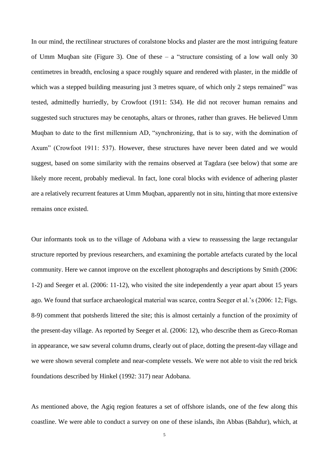In our mind, the rectilinear structures of coralstone blocks and plaster are the most intriguing feature of Umm Muqban site (Figure 3). One of these – a "structure consisting of a low wall only 30 centimetres in breadth, enclosing a space roughly square and rendered with plaster, in the middle of which was a stepped building measuring just 3 metres square, of which only 2 steps remained" was tested, admittedly hurriedly, by Crowfoot (1911: 534). He did not recover human remains and suggested such structures may be cenotaphs, altars or thrones, rather than graves. He believed Umm Muqban to date to the first millennium AD, "synchronizing, that is to say, with the domination of Axum" (Crowfoot 1911: 537). However, these structures have never been dated and we would suggest, based on some similarity with the remains observed at Tagdara (see below) that some are likely more recent, probably medieval. In fact, lone coral blocks with evidence of adhering plaster are a relatively recurrent features at Umm Muqban, apparently not in situ, hinting that more extensive remains once existed.

Our informants took us to the village of Adobana with a view to reassessing the large rectangular structure reported by previous researchers, and examining the portable artefacts curated by the local community. Here we cannot improve on the excellent photographs and descriptions by Smith (2006: 1-2) and Seeger et al. (2006: 11-12), who visited the site independently a year apart about 15 years ago. We found that surface archaeological material was scarce, contra Seeger et al.'s (2006: 12; Figs. 8-9) comment that potsherds littered the site; this is almost certainly a function of the proximity of the present-day village. As reported by Seeger et al. (2006: 12), who describe them as Greco-Roman in appearance, we saw several column drums, clearly out of place, dotting the present-day village and we were shown several complete and near-complete vessels. We were not able to visit the red brick foundations described by Hinkel (1992: 317) near Adobana.

As mentioned above, the Agiq region features a set of offshore islands, one of the few along this coastline. We were able to conduct a survey on one of these islands, ibn Abbas (Bahdur), which, at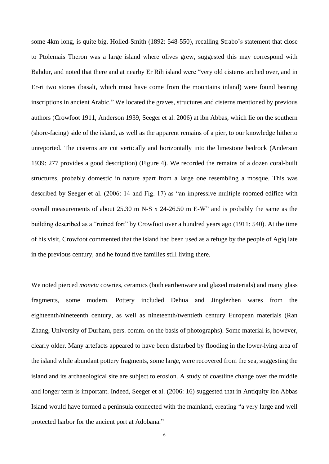some 4km long, is quite big. Holled-Smith (1892: 548-550), recalling Strabo's statement that close to Ptolemais Theron was a large island where olives grew, suggested this may correspond with Bahdur, and noted that there and at nearby Er Rih island were "very old cisterns arched over, and in Er-ri two stones (basalt, which must have come from the mountains inland) were found bearing inscriptions in ancient Arabic." We located the graves, structures and cisterns mentioned by previous authors (Crowfoot 1911, Anderson 1939, Seeger et al. 2006) at ibn Abbas, which lie on the southern (shore-facing) side of the island, as well as the apparent remains of a pier, to our knowledge hitherto unreported. The cisterns are cut vertically and horizontally into the limestone bedrock (Anderson 1939: 277 provides a good description) (Figure 4). We recorded the remains of a dozen coral-built structures, probably domestic in nature apart from a large one resembling a mosque. This was described by Seeger et al. (2006: 14 and Fig. 17) as "an impressive multiple-roomed edifice with overall measurements of about 25.30 m N-S x 24-26.50 m E-W" and is probably the same as the building described as a "ruined fort" by Crowfoot over a hundred years ago (1911: 540). At the time of his visit, Crowfoot commented that the island had been used as a refuge by the people of Agiq late in the previous century, and he found five families still living there.

We noted pierced *moneta* cowries, ceramics (both earthenware and glazed materials) and many glass fragments, some modern. Pottery included Dehua and Jingdezhen wares from the eighteenth/nineteenth century, as well as nineteenth/twentieth century European materials (Ran Zhang, University of Durham, pers. comm. on the basis of photographs). Some material is, however, clearly older. Many artefacts appeared to have been disturbed by flooding in the lower-lying area of the island while abundant pottery fragments, some large, were recovered from the sea, suggesting the island and its archaeological site are subject to erosion. A study of coastline change over the middle and longer term is important. Indeed, Seeger et al. (2006: 16) suggested that in Antiquity ibn Abbas Island would have formed a peninsula connected with the mainland, creating "a very large and well protected harbor for the ancient port at Adobana."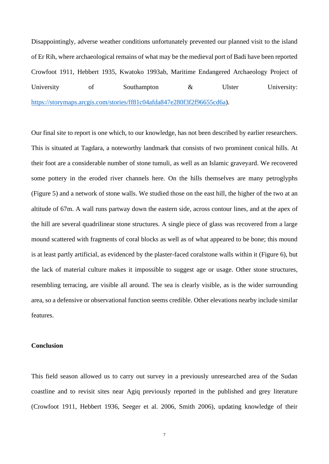Disappointingly, adverse weather conditions unfortunately prevented our planned visit to the island of Er Rih, where archaeological remains of what may be the medieval port of Badi have been reported Crowfoot 1911, Hebbert 1935, Kwatoko 1993ab, Maritime Endangered Archaeology Project of University of Southampton & Ulster University: [https://storymaps.arcgis.com/stories/ff81c04afda847e280f3f2f96655cd6a\)](https://storymaps.arcgis.com/stories/ff81c04afda847e280f3f2f96655cd6a).

Our final site to report is one which, to our knowledge, has not been described by earlier researchers. This is situated at Tagdara, a noteworthy landmark that consists of two prominent conical hills. At their foot are a considerable number of stone tumuli, as well as an Islamic graveyard. We recovered some pottery in the eroded river channels here. On the hills themselves are many petroglyphs (Figure 5) and a network of stone walls. We studied those on the east hill, the higher of the two at an altitude of 67m. A wall runs partway down the eastern side, across contour lines, and at the apex of the hill are several quadrilinear stone structures. A single piece of glass was recovered from a large mound scattered with fragments of coral blocks as well as of what appeared to be bone; this mound is at least partly artificial, as evidenced by the plaster-faced coralstone walls within it (Figure 6), but the lack of material culture makes it impossible to suggest age or usage. Other stone structures, resembling terracing, are visible all around. The sea is clearly visible, as is the wider surrounding area, so a defensive or observational function seems credible. Other elevations nearby include similar features.

## **Conclusion**

This field season allowed us to carry out survey in a previously unresearched area of the Sudan coastline and to revisit sites near Agiq previously reported in the published and grey literature (Crowfoot 1911, Hebbert 1936, Seeger et al. 2006, Smith 2006), updating knowledge of their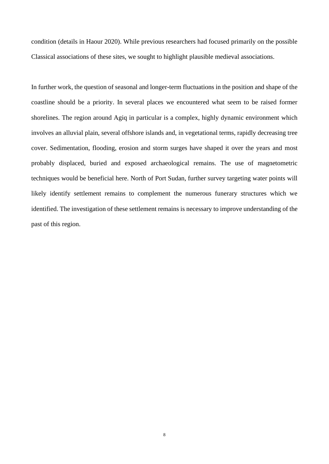condition (details in Haour 2020). While previous researchers had focused primarily on the possible Classical associations of these sites, we sought to highlight plausible medieval associations.

In further work, the question of seasonal and longer-term fluctuations in the position and shape of the coastline should be a priority. In several places we encountered what seem to be raised former shorelines. The region around Agiq in particular is a complex, highly dynamic environment which involves an alluvial plain, several offshore islands and, in vegetational terms, rapidly decreasing tree cover. Sedimentation, flooding, erosion and storm surges have shaped it over the years and most probably displaced, buried and exposed archaeological remains. The use of magnetometric techniques would be beneficial here. North of Port Sudan, further survey targeting water points will likely identify settlement remains to complement the numerous funerary structures which we identified. The investigation of these settlement remains is necessary to improve understanding of the past of this region.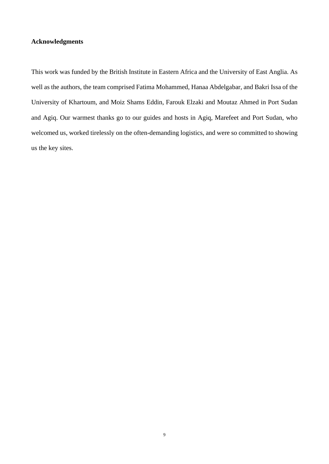## **Acknowledgments**

This work was funded by the British Institute in Eastern Africa and the University of East Anglia. As well as the authors, the team comprised Fatima Mohammed, Hanaa Abdelgabar, and Bakri Issa of the University of Khartoum, and Moiz Shams Eddin, Farouk Elzaki and Moutaz Ahmed in Port Sudan and Agiq. Our warmest thanks go to our guides and hosts in Agiq, Marefeet and Port Sudan, who welcomed us, worked tirelessly on the often-demanding logistics, and were so committed to showing us the key sites.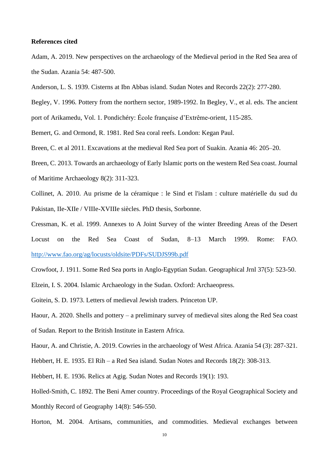## **References cited**

Adam, A. 2019. New perspectives on the archaeology of the Medieval period in the Red Sea area of the Sudan. Azania 54: 487-500.

Anderson, L. S. 1939. Cisterns at Ibn Abbas island. Sudan Notes and Records 22(2): 277-280.

Begley, V. 1996. Pottery from the northern sector, 1989-1992. In Begley, V., et al. eds. The ancient

port of Arikamedu, Vol. 1. Pondichéry: École française d'Extrême-orient, 115-285.

Bemert, G. and Ormond, R. 1981. Red Sea coral reefs. London: Kegan Paul.

Breen, C. et al 2011. Excavations at the medieval Red Sea port of Suakin. Azania 46: 205–20.

Breen, C. 2013. Towards an archaeology of Early Islamic ports on the western Red Sea coast. Journal of Maritime Archaeology 8(2): 311-323.

Collinet, A. 2010. Au prisme de la céramique : le Sind et l'islam : culture matérielle du sud du Pakistan, IIe-XIIe / VIIIe-XVIIIe siècles. PhD thesis, Sorbonne.

Cressman, K. et al. 1999. Annexes to A Joint Survey of the winter Breeding Areas of the Desert Locust on the Red Sea Coast of Sudan, 8–13 March 1999. Rome: FAO. <http://www.fao.org/ag/locusts/oldsite/PDFs/SUDJS99b.pdf>

Crowfoot, J. 1911. Some Red Sea ports in Anglo-Egyptian Sudan. Geographical Jrnl 37(5): 523-50.

Elzein, I. S. 2004. Islamic Archaeology in the Sudan. Oxford: Archaeopress.

Goitein, S. D. 1973. Letters of medieval Jewish traders. Princeton UP.

Haour, A. 2020. Shells and pottery – a preliminary survey of medieval sites along the Red Sea coast of Sudan. Report to the British Institute in Eastern Africa.

Haour, A. and Christie, A. 2019. Cowries in the archaeology of West Africa. Azania 54 (3): 287-321.

Hebbert, H. E. 1935. El Rih – a Red Sea island. Sudan Notes and Records 18(2): 308-313.

Hebbert, H. E. 1936. Relics at Agig. Sudan Notes and Records 19(1): 193.

Holled-Smith, C. 1892. The Beni Amer country. Proceedings of the Royal Geographical Society and Monthly Record of Geography 14(8): 546-550.

Horton, M. 2004. Artisans, communities, and commodities. Medieval exchanges between